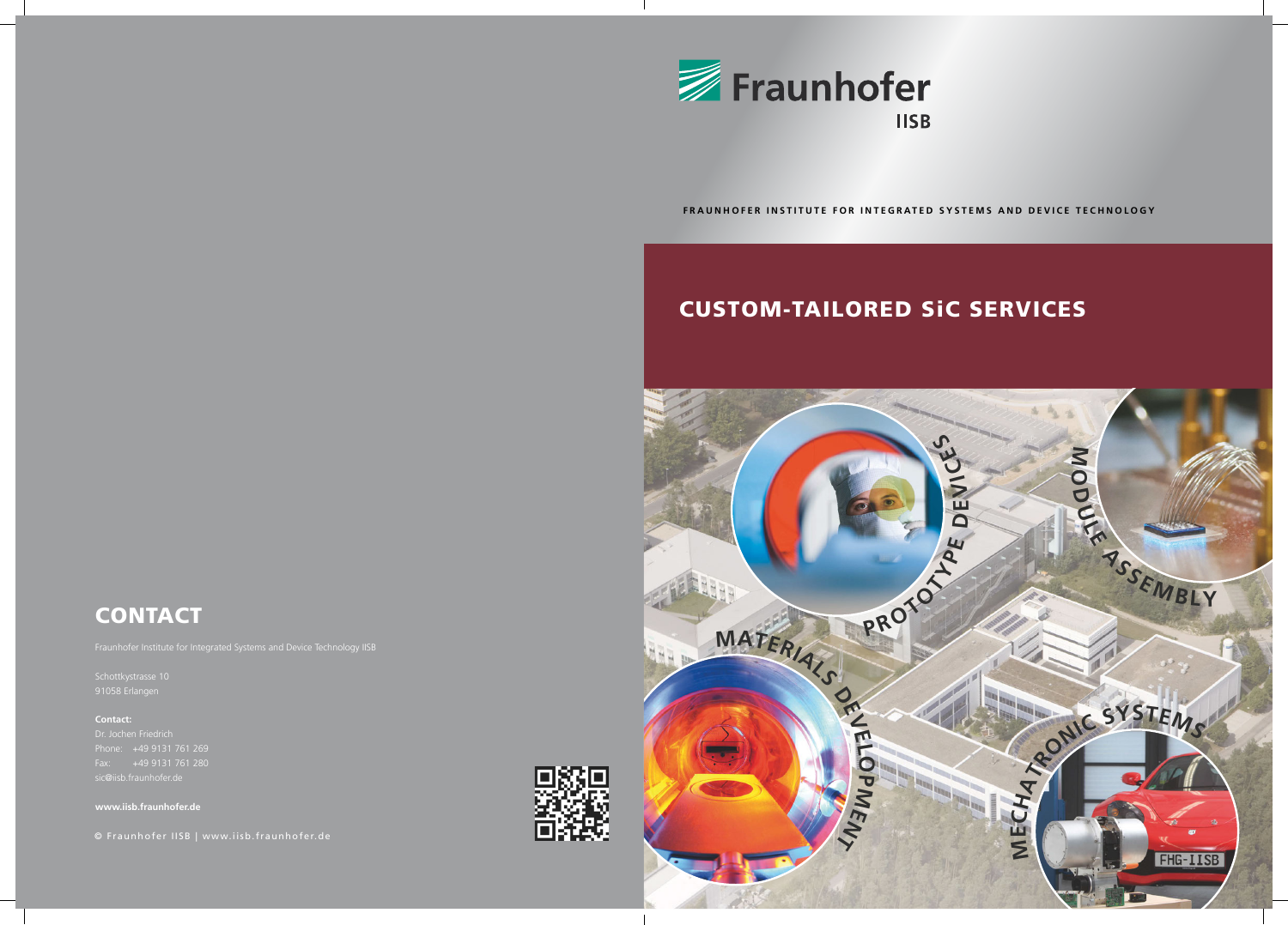# CUSTOM-TAILORED SiC SERVICES



 **FRAUNHOFER INSTITUTE FOR INTEGRATED SYSTEMS AND DEVICE TECHNOLOGY**



# **CONTACT**

Fraunhofer Institute for Integrated Systems and Device Technology IISB

Schottkystrasse 10 91058 Erlangen

### **Contact:**

sic@iisb.fraunhofer.de

**www.iisb.fraunhofer.de**

© Fraunhofer IISB | www.iisb.fraunhofer.de